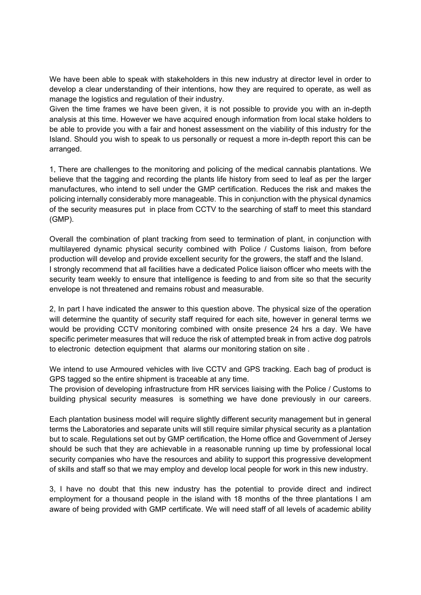We have been able to speak with stakeholders in this new industry at director level in order to develop a clear understanding of their intentions, how they are required to operate, as well as manage the logistics and regulation of their industry.

Given the time frames we have been given, it is not possible to provide you with an in-depth analysis at this time. However we have acquired enough information from local stake holders to be able to provide you with a fair and honest assessment on the viability of this industry for the Island. Should you wish to speak to us personally or request a more in-depth report this can be arranged.

1, There are challenges to the monitoring and policing of the medical cannabis plantations. We believe that the tagging and recording the plants life history from seed to leaf as per the larger manufactures, who intend to sell under the GMP certification. Reduces the risk and makes the policing internally considerably more manageable. This in conjunction with the physical dynamics of the security measures put in place from CCTV to the searching of staff to meet this standard (GMP).

Overall the combination of plant tracking from seed to termination of plant, in conjunction with multilayered dynamic physical security combined with Police / Customs liaison, from before production will develop and provide excellent security for the growers, the staff and the Island. I strongly recommend that all facilities have a dedicated Police liaison officer who meets with the security team weekly to ensure that intelligence is feeding to and from site so that the security envelope is not threatened and remains robust and measurable.

2, In part I have indicated the answer to this question above. The physical size of the operation will determine the quantity of security staff required for each site, however in general terms we would be providing CCTV monitoring combined with onsite presence 24 hrs a day. We have specific perimeter measures that will reduce the risk of attempted break in from active dog patrols to electronic detection equipment that alarms our monitoring station on site .

We intend to use Armoured vehicles with live CCTV and GPS tracking. Each bag of product is GPS tagged so the entire shipment is traceable at any time.

The provision of developing infrastructure from HR services liaising with the Police / Customs to building physical security measures is something we have done previously in our careers.

Each plantation business model will require slightly different security management but in general terms the Laboratories and separate units will still require similar physical security as a plantation but to scale. Regulations set out by GMP certification, the Home office and Government of Jersey should be such that they are achievable in a reasonable running up time by professional local security companies who have the resources and ability to support this progressive development of skills and staff so that we may employ and develop local people for work in this new industry.

3, I have no doubt that this new industry has the potential to provide direct and indirect employment for a thousand people in the island with 18 months of the three plantations I am aware of being provided with GMP certificate. We will need staff of all levels of academic ability